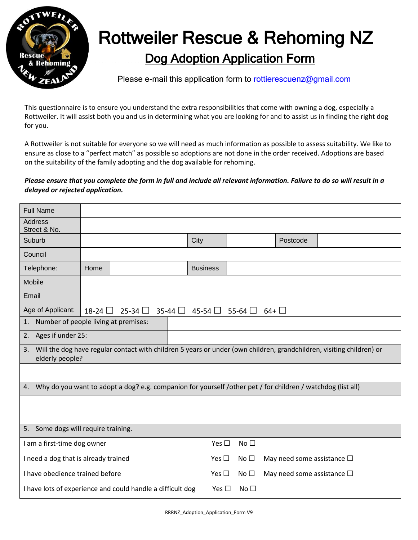

## Dog Adoption Application Form Rottweiler Rescue & Rehoming NZ

Please e-mail this application form to [rottierescuenz@gmail.com](mailto:rottierescuenz@gmail.com)

This questionnaire is to ensure you understand the extra responsibilities that come with owning a dog, especially a Rottweiler. It will assist both you and us in determining what you are looking for and to assist us in finding the right dog for you.

A Rottweiler is not suitable for everyone so we will need as much information as possible to assess suitability. We like to ensure as close to a "perfect match" as possible so adoptions are not done in the order received. Adoptions are based on the suitability of the family adopting and the dog available for rehoming.

## *Please ensure that you complete the form in full and include all relevant information. Failure to do so will result in a delayed or rejected application.*

| <b>Full Name</b>                                                                                                                              |                                                                                                       |  |               |                 |                                    |          |  |
|-----------------------------------------------------------------------------------------------------------------------------------------------|-------------------------------------------------------------------------------------------------------|--|---------------|-----------------|------------------------------------|----------|--|
| <b>Address</b><br>Street & No.                                                                                                                |                                                                                                       |  |               |                 |                                    |          |  |
| Suburb                                                                                                                                        |                                                                                                       |  |               | City            |                                    | Postcode |  |
| Council                                                                                                                                       |                                                                                                       |  |               |                 |                                    |          |  |
| Telephone:                                                                                                                                    | Home                                                                                                  |  |               | <b>Business</b> |                                    |          |  |
| Mobile                                                                                                                                        |                                                                                                       |  |               |                 |                                    |          |  |
| Email                                                                                                                                         |                                                                                                       |  |               |                 |                                    |          |  |
| Age of Applicant:                                                                                                                             | $25-34$ $\Box$<br>$35-44$ $\Box$<br>$45-54$ $\Box$<br>$64 + \Box$<br>$18-24$ $\Box$<br>$55-64$ $\Box$ |  |               |                 |                                    |          |  |
| Number of people living at premises:<br>1.                                                                                                    |                                                                                                       |  |               |                 |                                    |          |  |
| 2. Ages if under 25:                                                                                                                          |                                                                                                       |  |               |                 |                                    |          |  |
| Will the dog have regular contact with children 5 years or under (own children, grandchildren, visiting children) or<br>3.<br>elderly people? |                                                                                                       |  |               |                 |                                    |          |  |
|                                                                                                                                               |                                                                                                       |  |               |                 |                                    |          |  |
| Why do you want to adopt a dog? e.g. companion for yourself /other pet / for children / watchdog (list all)<br>4.                             |                                                                                                       |  |               |                 |                                    |          |  |
|                                                                                                                                               |                                                                                                       |  |               |                 |                                    |          |  |
|                                                                                                                                               |                                                                                                       |  |               |                 |                                    |          |  |
| 5. Some dogs will require training.                                                                                                           |                                                                                                       |  |               |                 |                                    |          |  |
| I am a first-time dog owner                                                                                                                   |                                                                                                       |  | Yes $\square$ | No <sub>1</sub> |                                    |          |  |
| I need a dog that is already trained                                                                                                          |                                                                                                       |  | Yes $\square$ | No $\square$    | May need some assistance $\square$ |          |  |
| I have obedience trained before                                                                                                               |                                                                                                       |  | Yes $\square$ | No $\square$    | May need some assistance $\square$ |          |  |
| I have lots of experience and could handle a difficult dog                                                                                    |                                                                                                       |  |               | Yes $\square$   | No <sub>1</sub>                    |          |  |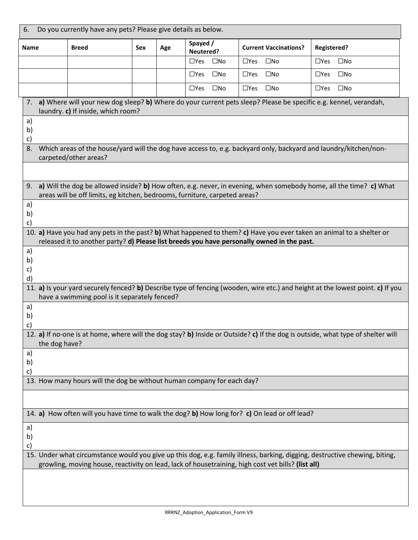| Do you currently have any pets? Please give details as below.<br>6.                                                               |                                                                                                                                 |     |     |                            |                                                                                            |                                                                                                                                |
|-----------------------------------------------------------------------------------------------------------------------------------|---------------------------------------------------------------------------------------------------------------------------------|-----|-----|----------------------------|--------------------------------------------------------------------------------------------|--------------------------------------------------------------------------------------------------------------------------------|
| Name                                                                                                                              | <b>Breed</b>                                                                                                                    | Sex | Age | Spayed /<br>Neutered?      | <b>Current Vaccinations?</b>                                                               | <b>Registered?</b>                                                                                                             |
|                                                                                                                                   |                                                                                                                                 |     |     | $\Box$ Yes<br>$\square$ No | $\square$ Yes<br>$\square$ No                                                              | $\Box$ Yes<br>$\square$ No                                                                                                     |
|                                                                                                                                   |                                                                                                                                 |     |     | $\Box$ Yes<br>$\square$ No | $\square$ Yes<br>$\square$ No                                                              | $\Box$ Yes<br>$\square$ No                                                                                                     |
|                                                                                                                                   |                                                                                                                                 |     |     | $\square$ No<br>$\Box$ Yes | $\Box$ Yes<br>$\square$ No                                                                 | $\Box$ Yes<br>$\square$ No                                                                                                     |
| 7.                                                                                                                                |                                                                                                                                 |     |     |                            |                                                                                            | a) Where will your new dog sleep? b) Where do your current pets sleep? Please be specific e.g. kennel, verandah,               |
| a)                                                                                                                                | laundry. c) If inside, which room?                                                                                              |     |     |                            |                                                                                            |                                                                                                                                |
| b)                                                                                                                                |                                                                                                                                 |     |     |                            |                                                                                            |                                                                                                                                |
| c)<br>8.                                                                                                                          |                                                                                                                                 |     |     |                            |                                                                                            | Which areas of the house/yard will the dog have access to, e.g. backyard only, backyard and laundry/kitchen/non-               |
|                                                                                                                                   | carpeted/other areas?                                                                                                           |     |     |                            |                                                                                            |                                                                                                                                |
|                                                                                                                                   |                                                                                                                                 |     |     |                            |                                                                                            |                                                                                                                                |
| 9.                                                                                                                                |                                                                                                                                 |     |     |                            |                                                                                            | a) Will the dog be allowed inside? b) How often, e.g. never, in evening, when somebody home, all the time? c) What             |
|                                                                                                                                   | areas will be off limits, eg kitchen, bedrooms, furniture, carpeted areas?                                                      |     |     |                            |                                                                                            |                                                                                                                                |
| a)                                                                                                                                |                                                                                                                                 |     |     |                            |                                                                                            |                                                                                                                                |
| b)<br>c)                                                                                                                          |                                                                                                                                 |     |     |                            |                                                                                            |                                                                                                                                |
|                                                                                                                                   |                                                                                                                                 |     |     |                            |                                                                                            | 10. a) Have you had any pets in the past? b) What happened to them? c) Have you ever taken an animal to a shelter or           |
|                                                                                                                                   |                                                                                                                                 |     |     |                            | released it to another party? d) Please list breeds you have personally owned in the past. |                                                                                                                                |
| a)<br>b)                                                                                                                          |                                                                                                                                 |     |     |                            |                                                                                            |                                                                                                                                |
| c)                                                                                                                                |                                                                                                                                 |     |     |                            |                                                                                            |                                                                                                                                |
| d)                                                                                                                                |                                                                                                                                 |     |     |                            |                                                                                            | 11. a) Is your yard securely fenced? b) Describe type of fencing (wooden, wire etc.) and height at the lowest point. c) If you |
|                                                                                                                                   | have a swimming pool is it separately fenced?                                                                                   |     |     |                            |                                                                                            |                                                                                                                                |
| a)                                                                                                                                |                                                                                                                                 |     |     |                            |                                                                                            |                                                                                                                                |
| b)<br>$\mathsf{c})$                                                                                                               |                                                                                                                                 |     |     |                            |                                                                                            |                                                                                                                                |
|                                                                                                                                   | 12. a) If no-one is at home, where will the dog stay? b) Inside or Outside? c) If the dog is outside, what type of shelter will |     |     |                            |                                                                                            |                                                                                                                                |
| the dog have?                                                                                                                     |                                                                                                                                 |     |     |                            |                                                                                            |                                                                                                                                |
| a)<br>b)                                                                                                                          |                                                                                                                                 |     |     |                            |                                                                                            |                                                                                                                                |
| c)                                                                                                                                |                                                                                                                                 |     |     |                            |                                                                                            |                                                                                                                                |
| 13. How many hours will the dog be without human company for each day?                                                            |                                                                                                                                 |     |     |                            |                                                                                            |                                                                                                                                |
|                                                                                                                                   |                                                                                                                                 |     |     |                            |                                                                                            |                                                                                                                                |
| 14. a) How often will you have time to walk the dog? b) How long for? c) On lead or off lead?                                     |                                                                                                                                 |     |     |                            |                                                                                            |                                                                                                                                |
| a)                                                                                                                                |                                                                                                                                 |     |     |                            |                                                                                            |                                                                                                                                |
| b)                                                                                                                                |                                                                                                                                 |     |     |                            |                                                                                            |                                                                                                                                |
| c)<br>15. Under what circumstance would you give up this dog, e.g. family illness, barking, digging, destructive chewing, biting, |                                                                                                                                 |     |     |                            |                                                                                            |                                                                                                                                |
| growling, moving house, reactivity on lead, lack of housetraining, high cost vet bills? (list all)                                |                                                                                                                                 |     |     |                            |                                                                                            |                                                                                                                                |
|                                                                                                                                   |                                                                                                                                 |     |     |                            |                                                                                            |                                                                                                                                |
|                                                                                                                                   |                                                                                                                                 |     |     |                            |                                                                                            |                                                                                                                                |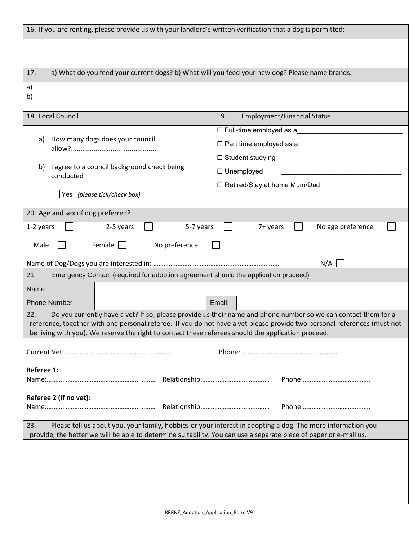| 16. If you are renting, please provide us with your landlord's written verification that a dog is permitted:                                                                                                                                                                                                                                             |                                             |  |  |  |  |
|----------------------------------------------------------------------------------------------------------------------------------------------------------------------------------------------------------------------------------------------------------------------------------------------------------------------------------------------------------|---------------------------------------------|--|--|--|--|
|                                                                                                                                                                                                                                                                                                                                                          |                                             |  |  |  |  |
| a) What do you feed your current dogs? b) What will you feed your new dog? Please name brands.                                                                                                                                                                                                                                                           |                                             |  |  |  |  |
| 17.                                                                                                                                                                                                                                                                                                                                                      |                                             |  |  |  |  |
| a)<br>b)                                                                                                                                                                                                                                                                                                                                                 |                                             |  |  |  |  |
| 18. Local Council                                                                                                                                                                                                                                                                                                                                        | <b>Employment/Financial Status</b><br>19.   |  |  |  |  |
| How many dogs does your council<br>a)                                                                                                                                                                                                                                                                                                                    | □ Full-time employed as a                   |  |  |  |  |
| I agree to a council background check being<br>b)<br>conducted                                                                                                                                                                                                                                                                                           | $\Box$ Unemployed                           |  |  |  |  |
|                                                                                                                                                                                                                                                                                                                                                          | □ Retired/Stay at home Mum/Dad ____________ |  |  |  |  |
| Yes (please tick/check box)                                                                                                                                                                                                                                                                                                                              |                                             |  |  |  |  |
| 20. Age and sex of dog preferred?                                                                                                                                                                                                                                                                                                                        |                                             |  |  |  |  |
| 5-7 years<br>2-5 years<br>7+ years<br>No age preference<br>1-2 years<br>Female<br>Male<br>No preference                                                                                                                                                                                                                                                  |                                             |  |  |  |  |
| Emergency Contact (required for adoption agreement should the application proceed)<br>21.                                                                                                                                                                                                                                                                | N/A                                         |  |  |  |  |
| Name:                                                                                                                                                                                                                                                                                                                                                    |                                             |  |  |  |  |
| <b>Phone Number</b>                                                                                                                                                                                                                                                                                                                                      | Email:                                      |  |  |  |  |
| Do you currently have a vet? If so, please provide us their name and phone number so we can contact them for a<br>22.<br>reference, together with one personal referee. If you do not have a vet please provide two personal references (must not<br>be living with you). We reserve the right to contact these referees should the application proceed. |                                             |  |  |  |  |
|                                                                                                                                                                                                                                                                                                                                                          |                                             |  |  |  |  |
| Referee 1:                                                                                                                                                                                                                                                                                                                                               |                                             |  |  |  |  |
| Referee 2 (if no vet):                                                                                                                                                                                                                                                                                                                                   |                                             |  |  |  |  |
| Please tell us about you, your family, hobbies or your interest in adopting a dog. The more information you<br>23.<br>provide, the better we will be able to determine suitability. You can use a separate piece of paper or e-mail us.                                                                                                                  |                                             |  |  |  |  |
|                                                                                                                                                                                                                                                                                                                                                          |                                             |  |  |  |  |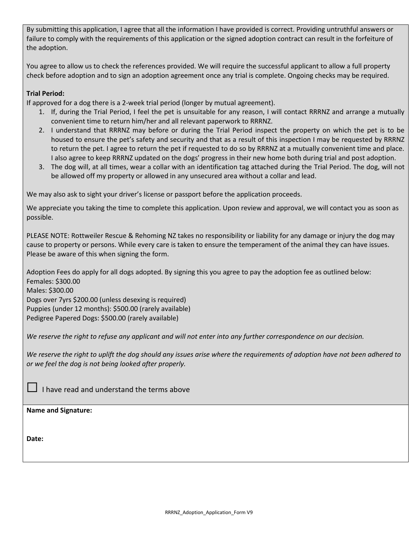By submitting this application, I agree that all the information I have provided is correct. Providing untruthful answers or failure to comply with the requirements of this application or the signed adoption contract can result in the forfeiture of the adoption.

You agree to allow us to check the references provided. We will require the successful applicant to allow a full property check before adoption and to sign an adoption agreement once any trial is complete. Ongoing checks may be required.

## **Trial Period:**

If approved for a dog there is a 2-week trial period (longer by mutual agreement).

- 1. If, during the Trial Period, I feel the pet is unsuitable for any reason, I will contact RRRNZ and arrange a mutually convenient time to return him/her and all relevant paperwork to RRRNZ.
- 2. I understand that RRRNZ may before or during the Trial Period inspect the property on which the pet is to be housed to ensure the pet's safety and security and that as a result of this inspection I may be requested by RRRNZ to return the pet. I agree to return the pet if requested to do so by RRRNZ at a mutually convenient time and place. I also agree to keep RRRNZ updated on the dogs' progress in their new home both during trial and post adoption.
- 3. The dog will, at all times, wear a collar with an identification tag attached during the Trial Period. The dog, will not be allowed off my property or allowed in any unsecured area without a collar and lead.

We may also ask to sight your driver's license or passport before the application proceeds.

We appreciate you taking the time to complete this application. Upon review and approval, we will contact you as soon as possible.

PLEASE NOTE: Rottweiler Rescue & Rehoming NZ takes no responsibility or liability for any damage or injury the dog may cause to property or persons. While every care is taken to ensure the temperament of the animal they can have issues. Please be aware of this when signing the form.

Adoption Fees do apply for all dogs adopted. By signing this you agree to pay the adoption fee as outlined below: Females: \$300.00 Males: \$300.00

Dogs over 7yrs \$200.00 (unless desexing is required) Puppies (under 12 months): \$500.00 (rarely available) Pedigree Papered Dogs: \$500.00 (rarely available)

*We reserve the right to refuse any applicant and will not enter into any further correspondence on our decision.*

*We reserve the right to uplift the dog should any issues arise where the requirements of adoption have not been adhered to or we feel the dog is not being looked after properly.*

☐ I have read and understand the terms above

## **Name and Signature:**

**Date:**